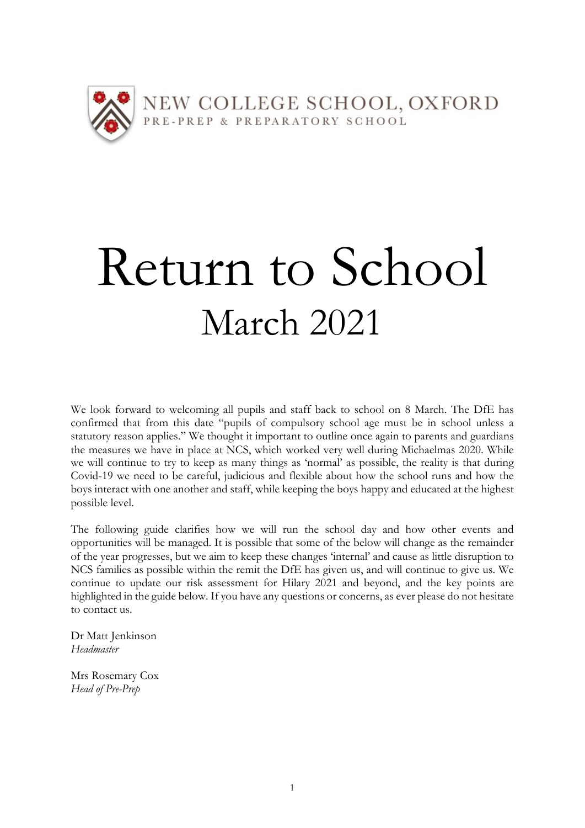

# Return to School March 2021

We look forward to welcoming all pupils and staff back to school on 8 March. The DfE has confirmed that from this date "pupils of compulsory school age must be in school unless a statutory reason applies." We thought it important to outline once again to parents and guardians the measures we have in place at NCS, which worked very well during Michaelmas 2020. While we will continue to try to keep as many things as 'normal' as possible, the reality is that during Covid-19 we need to be careful, judicious and flexible about how the school runs and how the boys interact with one another and staff, while keeping the boys happy and educated at the highest possible level.

The following guide clarifies how we will run the school day and how other events and opportunities will be managed. It is possible that some of the below will change as the remainder of the year progresses, but we aim to keep these changes 'internal' and cause as little disruption to NCS families as possible within the remit the DfE has given us, and will continue to give us. We continue to update our risk assessment for Hilary 2021 and beyond, and the key points are highlighted in the guide below. If you have any questions or concerns, as ever please do not hesitate to contact us.

Dr Matt Jenkinson *Headmaster*

Mrs Rosemary Cox *Head of Pre-Prep*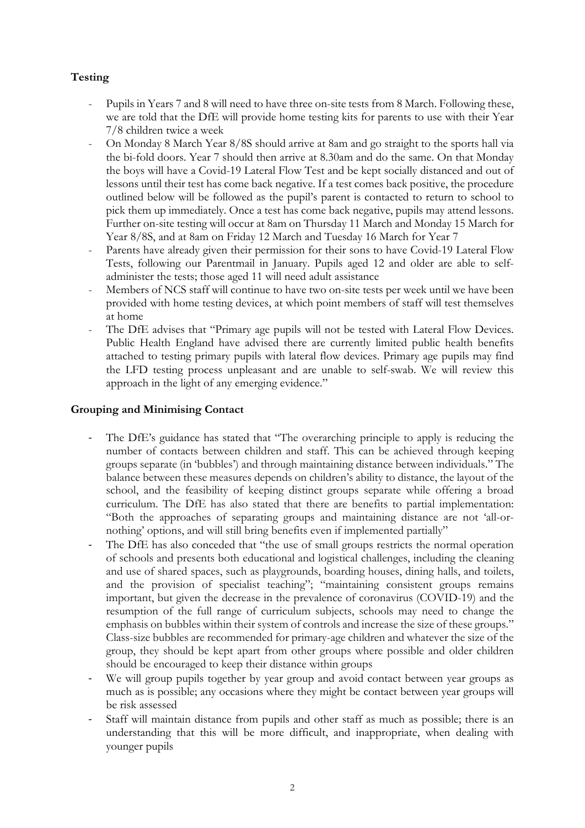# **Testing**

- Pupils in Years 7 and 8 will need to have three on-site tests from 8 March. Following these, we are told that the DfE will provide home testing kits for parents to use with their Year 7/8 children twice a week
- On Monday 8 March Year 8/8S should arrive at 8am and go straight to the sports hall via the bi-fold doors. Year 7 should then arrive at 8.30am and do the same. On that Monday the boys will have a Covid-19 Lateral Flow Test and be kept socially distanced and out of lessons until their test has come back negative. If a test comes back positive, the procedure outlined below will be followed as the pupil's parent is contacted to return to school to pick them up immediately. Once a test has come back negative, pupils may attend lessons. Further on-site testing will occur at 8am on Thursday 11 March and Monday 15 March for Year 8/8S, and at 8am on Friday 12 March and Tuesday 16 March for Year 7
- Parents have already given their permission for their sons to have Covid-19 Lateral Flow Tests, following our Parentmail in January. Pupils aged 12 and older are able to selfadminister the tests; those aged 11 will need adult assistance
- Members of NCS staff will continue to have two on-site tests per week until we have been provided with home testing devices, at which point members of staff will test themselves at home
- The DfE advises that "Primary age pupils will not be tested with Lateral Flow Devices. Public Health England have advised there are currently limited public health benefits attached to testing primary pupils with lateral flow devices. Primary age pupils may find the LFD testing process unpleasant and are unable to self-swab. We will review this approach in the light of any emerging evidence."

# **Grouping and Minimising Contact**

- The DfE's guidance has stated that "The overarching principle to apply is reducing the number of contacts between children and staff. This can be achieved through keeping groups separate (in 'bubbles') and through maintaining distance between individuals." The balance between these measures depends on children's ability to distance, the layout of the school, and the feasibility of keeping distinct groups separate while offering a broad curriculum. The DfE has also stated that there are benefits to partial implementation: "Both the approaches of separating groups and maintaining distance are not 'all-ornothing' options, and will still bring benefits even if implemented partially"
- The DfE has also conceded that "the use of small groups restricts the normal operation of schools and presents both educational and logistical challenges, including the cleaning and use of shared spaces, such as playgrounds, boarding houses, dining halls, and toilets, and the provision of specialist teaching"; "maintaining consistent groups remains important, but given the decrease in the prevalence of coronavirus (COVID-19) and the resumption of the full range of curriculum subjects, schools may need to change the emphasis on bubbles within their system of controls and increase the size of these groups." Class-size bubbles are recommended for primary-age children and whatever the size of the group, they should be kept apart from other groups where possible and older children should be encouraged to keep their distance within groups
- We will group pupils together by year group and avoid contact between year groups as much as is possible; any occasions where they might be contact between year groups will be risk assessed
- Staff will maintain distance from pupils and other staff as much as possible; there is an understanding that this will be more difficult, and inappropriate, when dealing with younger pupils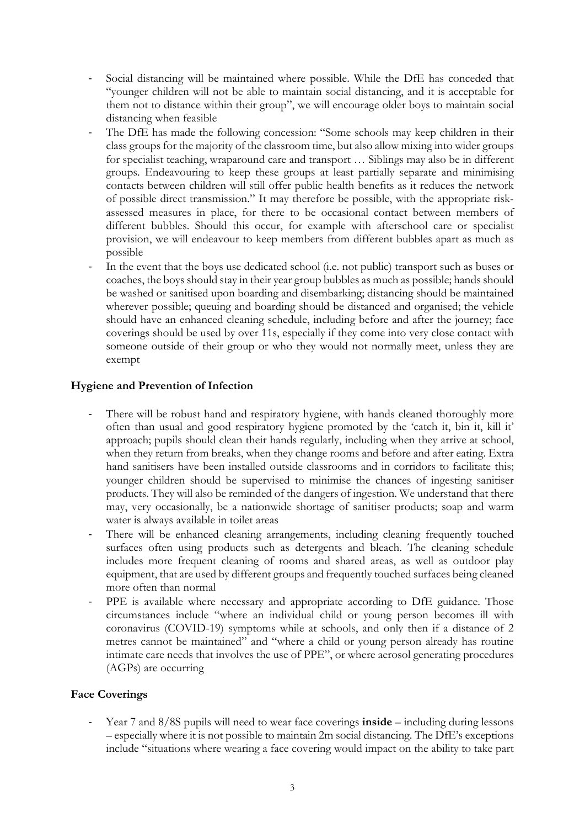- Social distancing will be maintained where possible. While the DfE has conceded that "younger children will not be able to maintain social distancing, and it is acceptable for them not to distance within their group", we will encourage older boys to maintain social distancing when feasible
- The DfE has made the following concession: "Some schools may keep children in their class groups for the majority of the classroom time, but also allow mixing into wider groups for specialist teaching, wraparound care and transport … Siblings may also be in different groups. Endeavouring to keep these groups at least partially separate and minimising contacts between children will still offer public health benefits as it reduces the network of possible direct transmission." It may therefore be possible, with the appropriate riskassessed measures in place, for there to be occasional contact between members of different bubbles. Should this occur, for example with afterschool care or specialist provision, we will endeavour to keep members from different bubbles apart as much as possible
- In the event that the boys use dedicated school (i.e. not public) transport such as buses or coaches, the boys should stay in their year group bubbles as much as possible; hands should be washed or sanitised upon boarding and disembarking; distancing should be maintained wherever possible; queuing and boarding should be distanced and organised; the vehicle should have an enhanced cleaning schedule, including before and after the journey; face coverings should be used by over 11s, especially if they come into very close contact with someone outside of their group or who they would not normally meet, unless they are exempt

# **Hygiene and Prevention of Infection**

- There will be robust hand and respiratory hygiene, with hands cleaned thoroughly more often than usual and good respiratory hygiene promoted by the 'catch it, bin it, kill it' approach; pupils should clean their hands regularly, including when they arrive at school, when they return from breaks, when they change rooms and before and after eating. Extra hand sanitisers have been installed outside classrooms and in corridors to facilitate this; younger children should be supervised to minimise the chances of ingesting sanitiser products. They will also be reminded of the dangers of ingestion. We understand that there may, very occasionally, be a nationwide shortage of sanitiser products; soap and warm water is always available in toilet areas
- There will be enhanced cleaning arrangements, including cleaning frequently touched surfaces often using products such as detergents and bleach. The cleaning schedule includes more frequent cleaning of rooms and shared areas, as well as outdoor play equipment, that are used by different groups and frequently touched surfaces being cleaned more often than normal
- PPE is available where necessary and appropriate according to DfE guidance. Those circumstances include "where an individual child or young person becomes ill with coronavirus (COVID-19) symptoms while at schools, and only then if a distance of 2 metres cannot be maintained" and "where a child or young person already has routine intimate care needs that involves the use of PPE", or where aerosol generating procedures (AGPs) are occurring

# **Face Coverings**

Year 7 and 8/8S pupils will need to wear face coverings **inside** – including during lessons – especially where it is not possible to maintain 2m social distancing. The DfE's exceptions include "situations where wearing a face covering would impact on the ability to take part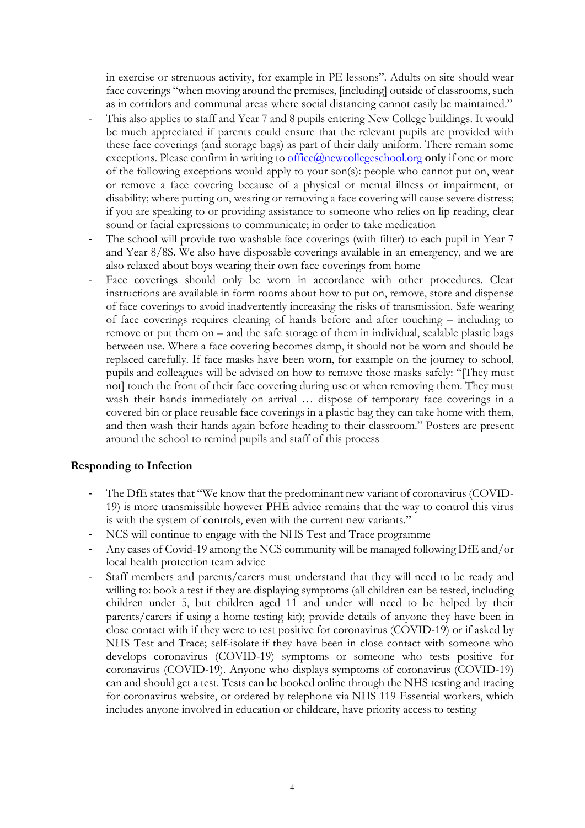in exercise or strenuous activity, for example in PE lessons". Adults on site should wear face coverings "when moving around the premises, [including] outside of classrooms, such as in corridors and communal areas where social distancing cannot easily be maintained."

- This also applies to staff and Year 7 and 8 pupils entering New College buildings. It would be much appreciated if parents could ensure that the relevant pupils are provided with these face coverings (and storage bags) as part of their daily uniform. There remain some exceptions. Please confirm in writing to **office**@newcollegeschool.org **only** if one or more of the following exceptions would apply to your son(s): people who cannot put on, wear or remove a face covering because of a physical or mental illness or impairment, or disability; where putting on, wearing or removing a face covering will cause severe distress; if you are speaking to or providing assistance to someone who relies on lip reading, clear sound or facial expressions to communicate; in order to take medication
- The school will provide two washable face coverings (with filter) to each pupil in Year 7 and Year 8/8S. We also have disposable coverings available in an emergency, and we are also relaxed about boys wearing their own face coverings from home
- Face coverings should only be worn in accordance with other procedures. Clear instructions are available in form rooms about how to put on, remove, store and dispense of face coverings to avoid inadvertently increasing the risks of transmission. Safe wearing of face coverings requires cleaning of hands before and after touching – including to remove or put them on – and the safe storage of them in individual, sealable plastic bags between use. Where a face covering becomes damp, it should not be worn and should be replaced carefully. If face masks have been worn, for example on the journey to school, pupils and colleagues will be advised on how to remove those masks safely: "[They must not] touch the front of their face covering during use or when removing them. They must wash their hands immediately on arrival ... dispose of temporary face coverings in a covered bin or place reusable face coverings in a plastic bag they can take home with them, and then wash their hands again before heading to their classroom." Posters are present around the school to remind pupils and staff of this process

## **Responding to Infection**

- The DfE states that "We know that the predominant new variant of coronavirus (COVID-19) is more transmissible however PHE advice remains that the way to control this virus is with the system of controls, even with the current new variants."
- NCS will continue to engage with the NHS Test and Trace programme
- Any cases of Covid-19 among the NCS community will be managed following DfE and/or local health protection team advice
- Staff members and parents/carers must understand that they will need to be ready and willing to: book a test if they are displaying symptoms (all children can be tested, including children under 5, but children aged 11 and under will need to be helped by their parents/carers if using a home testing kit); provide details of anyone they have been in close contact with if they were to test positive for coronavirus (COVID-19) or if asked by NHS Test and Trace; self-isolate if they have been in close contact with someone who develops coronavirus (COVID-19) symptoms or someone who tests positive for coronavirus (COVID-19). Anyone who displays symptoms of coronavirus (COVID-19) can and should get a test. Tests can be booked online through the NHS testing and tracing for coronavirus website, or ordered by telephone via NHS 119 Essential workers, which includes anyone involved in education or childcare, have priority access to testing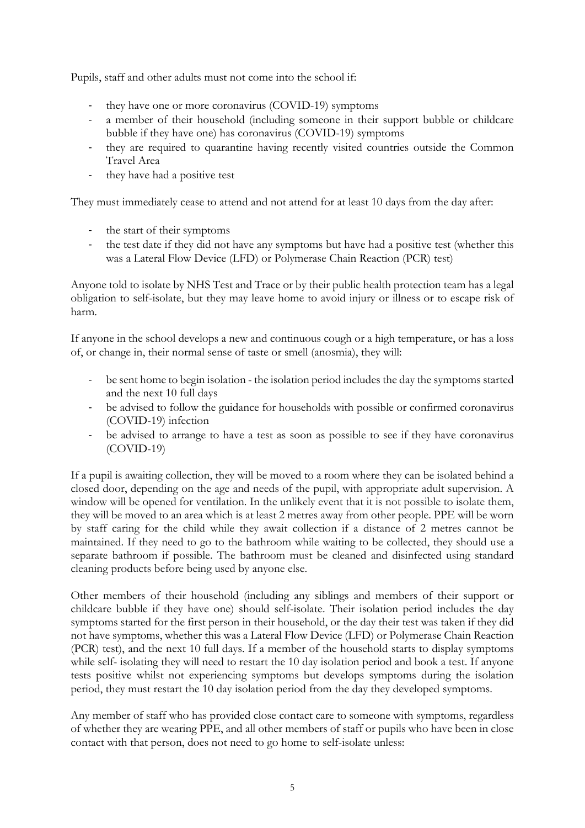Pupils, staff and other adults must not come into the school if:

- they have one or more coronavirus (COVID-19) symptoms
- a member of their household (including someone in their support bubble or childcare bubble if they have one) has coronavirus (COVID-19) symptoms
- they are required to quarantine having recently visited countries outside the Common Travel Area
- they have had a positive test

They must immediately cease to attend and not attend for at least 10 days from the day after:

- the start of their symptoms
- the test date if they did not have any symptoms but have had a positive test (whether this was a Lateral Flow Device (LFD) or Polymerase Chain Reaction (PCR) test)

Anyone told to isolate by NHS Test and Trace or by their public health protection team has a legal obligation to self-isolate, but they may leave home to avoid injury or illness or to escape risk of harm.

If anyone in the school develops a new and continuous cough or a high temperature, or has a loss of, or change in, their normal sense of taste or smell (anosmia), they will:

- be sent home to begin isolation the isolation period includes the day the symptoms started and the next 10 full days
- be advised to follow the guidance for households with possible or confirmed coronavirus (COVID-19) infection
- be advised to arrange to have a test as soon as possible to see if they have coronavirus (COVID-19)

If a pupil is awaiting collection, they will be moved to a room where they can be isolated behind a closed door, depending on the age and needs of the pupil, with appropriate adult supervision. A window will be opened for ventilation. In the unlikely event that it is not possible to isolate them, they will be moved to an area which is at least 2 metres away from other people. PPE will be worn by staff caring for the child while they await collection if a distance of 2 metres cannot be maintained. If they need to go to the bathroom while waiting to be collected, they should use a separate bathroom if possible. The bathroom must be cleaned and disinfected using standard cleaning products before being used by anyone else.

Other members of their household (including any siblings and members of their support or childcare bubble if they have one) should self-isolate. Their isolation period includes the day symptoms started for the first person in their household, or the day their test was taken if they did not have symptoms, whether this was a Lateral Flow Device (LFD) or Polymerase Chain Reaction (PCR) test), and the next 10 full days. If a member of the household starts to display symptoms while self- isolating they will need to restart the 10 day isolation period and book a test. If anyone tests positive whilst not experiencing symptoms but develops symptoms during the isolation period, they must restart the 10 day isolation period from the day they developed symptoms.

Any member of staff who has provided close contact care to someone with symptoms, regardless of whether they are wearing PPE, and all other members of staff or pupils who have been in close contact with that person, does not need to go home to self-isolate unless: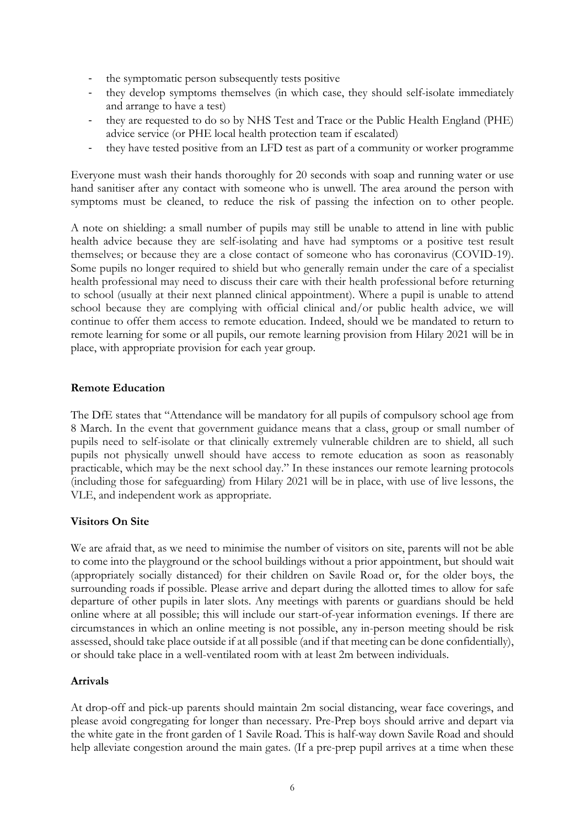- the symptomatic person subsequently tests positive
- they develop symptoms themselves (in which case, they should self-isolate immediately and arrange to have a test)
- they are requested to do so by NHS Test and Trace or the Public Health England (PHE) advice service (or PHE local health protection team if escalated)
- they have tested positive from an LFD test as part of a community or worker programme

Everyone must wash their hands thoroughly for 20 seconds with soap and running water or use hand sanitiser after any contact with someone who is unwell. The area around the person with symptoms must be cleaned, to reduce the risk of passing the infection on to other people.

A note on shielding: a small number of pupils may still be unable to attend in line with public health advice because they are self-isolating and have had symptoms or a positive test result themselves; or because they are a close contact of someone who has coronavirus (COVID-19). Some pupils no longer required to shield but who generally remain under the care of a specialist health professional may need to discuss their care with their health professional before returning to school (usually at their next planned clinical appointment). Where a pupil is unable to attend school because they are complying with official clinical and/or public health advice, we will continue to offer them access to remote education. Indeed, should we be mandated to return to remote learning for some or all pupils, our remote learning provision from Hilary 2021 will be in place, with appropriate provision for each year group.

# **Remote Education**

The DfE states that "Attendance will be mandatory for all pupils of compulsory school age from 8 March. In the event that government guidance means that a class, group or small number of pupils need to self-isolate or that clinically extremely vulnerable children are to shield, all such pupils not physically unwell should have access to remote education as soon as reasonably practicable, which may be the next school day." In these instances our remote learning protocols (including those for safeguarding) from Hilary 2021 will be in place, with use of live lessons, the VLE, and independent work as appropriate.

## **Visitors On Site**

We are afraid that, as we need to minimise the number of visitors on site, parents will not be able to come into the playground or the school buildings without a prior appointment, but should wait (appropriately socially distanced) for their children on Savile Road or, for the older boys, the surrounding roads if possible. Please arrive and depart during the allotted times to allow for safe departure of other pupils in later slots. Any meetings with parents or guardians should be held online where at all possible; this will include our start-of-year information evenings. If there are circumstances in which an online meeting is not possible, any in-person meeting should be risk assessed, should take place outside if at all possible (and if that meeting can be done confidentially), or should take place in a well-ventilated room with at least 2m between individuals.

## **Arrivals**

At drop-off and pick-up parents should maintain 2m social distancing, wear face coverings, and please avoid congregating for longer than necessary. Pre-Prep boys should arrive and depart via the white gate in the front garden of 1 Savile Road. This is half-way down Savile Road and should help alleviate congestion around the main gates. (If a pre-prep pupil arrives at a time when these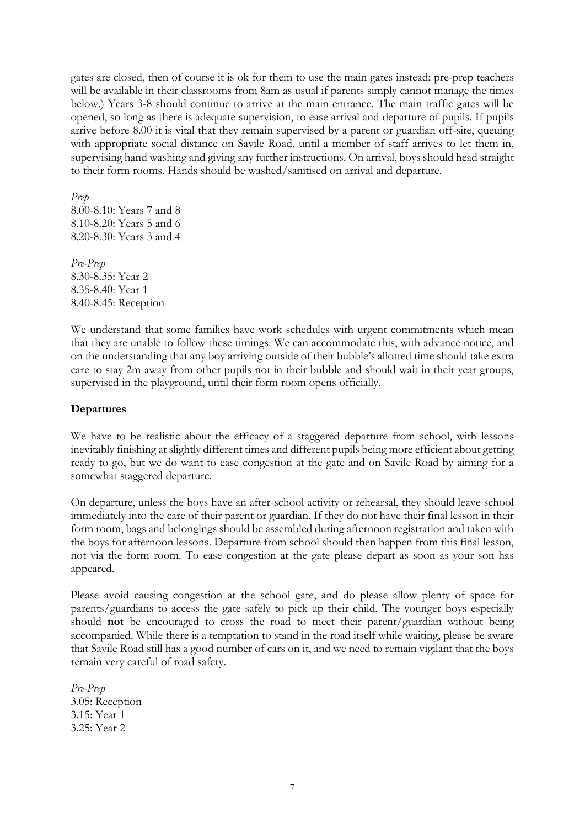gates are closed, then of course it is ok for them to use the main gates instead; pre-prep teachers will be available in their classrooms from 8am as usual if parents simply cannot manage the times below.) Years 3-8 should continue to arrive at the main entrance. The main traffic gates will be opened, so long as there is adequate supervision, to ease arrival and departure of pupils. If pupils arrive before 8.00 it is vital that they remain supervised by a parent or guardian off-site, queuing with appropriate social distance on Savile Road, until a member of staff arrives to let them in, supervising hand washing and giving any further instructions. On arrival, boys should head straight to their form rooms. Hands should be washed/sanitised on arrival and departure.

*Prep* 8.00-8.10: Years 7 and 8 8.10-8.20: Years 5 and 6 8.20-8.30: Years 3 and 4

*Pre-Prep* 8.30-8.35: Year 2 8.35-8.40: Year 1 8.40-8.45: Reception

We understand that some families have work schedules with urgent commitments which mean that they are unable to follow these timings. We can accommodate this, with advance notice, and on the understanding that any boy arriving outside of their bubble's allotted time should take extra care to stay 2m away from other pupils not in their bubble and should wait in their year groups, supervised in the playground, until their form room opens officially.

# **Departures**

We have to be realistic about the efficacy of a staggered departure from school, with lessons inevitably finishing at slightly different times and different pupils being more efficient about getting ready to go, but we do want to ease congestion at the gate and on Savile Road by aiming for a somewhat staggered departure.

On departure, unless the boys have an after-school activity or rehearsal, they should leave school immediately into the care of their parent or guardian. If they do not have their final lesson in their form room, bags and belongings should be assembled during afternoon registration and taken with the boys for afternoon lessons. Departure from school should then happen from this final lesson, not via the form room. To ease congestion at the gate please depart as soon as your son has appeared.

Please avoid causing congestion at the school gate, and do please allow plenty of space for parents/guardians to access the gate safely to pick up their child. The younger boys especially should **not** be encouraged to cross the road to meet their parent/guardian without being accompanied. While there is a temptation to stand in the road itself while waiting, please be aware that Savile Road still has a good number of cars on it, and we need to remain vigilant that the boys remain very careful of road safety.

*Pre-Prep* 3.05: Reception 3.15: Year 1 3.25: Year 2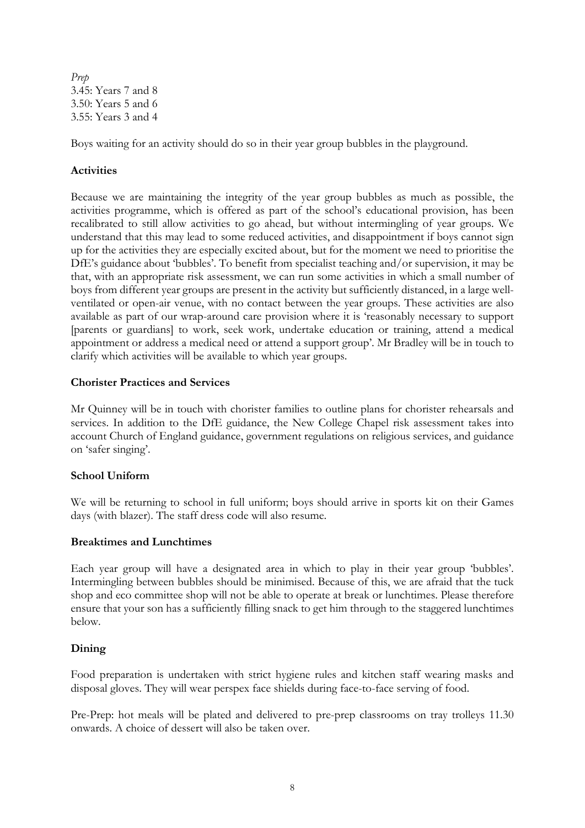*Prep* 3.45: Years 7 and 8 3.50: Years 5 and 6 3.55: Years 3 and 4

Boys waiting for an activity should do so in their year group bubbles in the playground.

# **Activities**

Because we are maintaining the integrity of the year group bubbles as much as possible, the activities programme, which is offered as part of the school's educational provision, has been recalibrated to still allow activities to go ahead, but without intermingling of year groups. We understand that this may lead to some reduced activities, and disappointment if boys cannot sign up for the activities they are especially excited about, but for the moment we need to prioritise the DfE's guidance about 'bubbles'. To benefit from specialist teaching and/or supervision, it may be that, with an appropriate risk assessment, we can run some activities in which a small number of boys from different year groups are present in the activity but sufficiently distanced, in a large wellventilated or open-air venue, with no contact between the year groups. These activities are also available as part of our wrap-around care provision where it is 'reasonably necessary to support [parents or guardians] to work, seek work, undertake education or training, attend a medical appointment or address a medical need or attend a support group'. Mr Bradley will be in touch to clarify which activities will be available to which year groups.

## **Chorister Practices and Services**

Mr Quinney will be in touch with chorister families to outline plans for chorister rehearsals and services. In addition to the DfE guidance, the New College Chapel risk assessment takes into account Church of England guidance, government regulations on religious services, and guidance on 'safer singing'.

## **School Uniform**

We will be returning to school in full uniform; boys should arrive in sports kit on their Games days (with blazer). The staff dress code will also resume.

## **Breaktimes and Lunchtimes**

Each year group will have a designated area in which to play in their year group 'bubbles'. Intermingling between bubbles should be minimised. Because of this, we are afraid that the tuck shop and eco committee shop will not be able to operate at break or lunchtimes. Please therefore ensure that your son has a sufficiently filling snack to get him through to the staggered lunchtimes below.

## **Dining**

Food preparation is undertaken with strict hygiene rules and kitchen staff wearing masks and disposal gloves. They will wear perspex face shields during face-to-face serving of food.

Pre-Prep: hot meals will be plated and delivered to pre-prep classrooms on tray trolleys 11.30 onwards. A choice of dessert will also be taken over.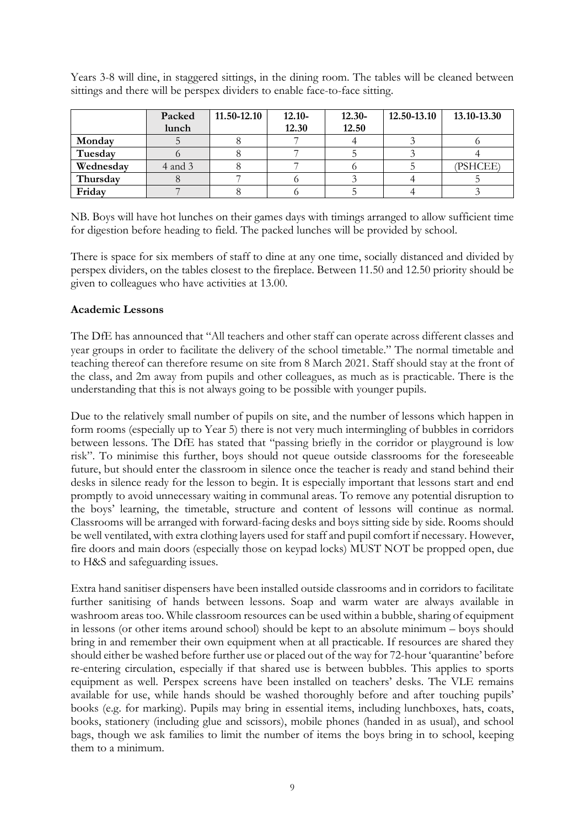Years 3-8 will dine, in staggered sittings, in the dining room. The tables will be cleaned between sittings and there will be perspex dividers to enable face-to-face sitting.

|           | Packed      | 11.50-12.10 | $12.10 -$ | $12.30 -$ | 12.50-13.10 | 13.10-13.30 |
|-----------|-------------|-------------|-----------|-----------|-------------|-------------|
|           | lunch       |             | 12.30     | 12.50     |             |             |
| Monday    |             |             |           |           |             |             |
| Tuesday   |             |             |           |           |             |             |
| Wednesday | $4$ and $3$ |             |           |           |             | (PSHCEE)    |
| Thursday  |             |             |           |           |             |             |
| Friday    |             |             |           |           |             |             |

NB. Boys will have hot lunches on their games days with timings arranged to allow sufficient time for digestion before heading to field. The packed lunches will be provided by school.

There is space for six members of staff to dine at any one time, socially distanced and divided by perspex dividers, on the tables closest to the fireplace. Between 11.50 and 12.50 priority should be given to colleagues who have activities at 13.00.

# **Academic Lessons**

The DfE has announced that "All teachers and other staff can operate across different classes and year groups in order to facilitate the delivery of the school timetable." The normal timetable and teaching thereof can therefore resume on site from 8 March 2021. Staff should stay at the front of the class, and 2m away from pupils and other colleagues, as much as is practicable. There is the understanding that this is not always going to be possible with younger pupils.

Due to the relatively small number of pupils on site, and the number of lessons which happen in form rooms (especially up to Year 5) there is not very much intermingling of bubbles in corridors between lessons. The DfE has stated that "passing briefly in the corridor or playground is low risk". To minimise this further, boys should not queue outside classrooms for the foreseeable future, but should enter the classroom in silence once the teacher is ready and stand behind their desks in silence ready for the lesson to begin. It is especially important that lessons start and end promptly to avoid unnecessary waiting in communal areas. To remove any potential disruption to the boys' learning, the timetable, structure and content of lessons will continue as normal. Classrooms will be arranged with forward-facing desks and boys sitting side by side. Rooms should be well ventilated, with extra clothing layers used for staff and pupil comfort if necessary. However, fire doors and main doors (especially those on keypad locks) MUST NOT be propped open, due to H&S and safeguarding issues.

Extra hand sanitiser dispensers have been installed outside classrooms and in corridors to facilitate further sanitising of hands between lessons. Soap and warm water are always available in washroom areas too. While classroom resources can be used within a bubble, sharing of equipment in lessons (or other items around school) should be kept to an absolute minimum – boys should bring in and remember their own equipment when at all practicable. If resources are shared they should either be washed before further use or placed out of the way for 72-hour 'quarantine' before re-entering circulation, especially if that shared use is between bubbles. This applies to sports equipment as well. Perspex screens have been installed on teachers' desks. The VLE remains available for use, while hands should be washed thoroughly before and after touching pupils' books (e.g. for marking). Pupils may bring in essential items, including lunchboxes, hats, coats, books, stationery (including glue and scissors), mobile phones (handed in as usual), and school bags, though we ask families to limit the number of items the boys bring in to school, keeping them to a minimum.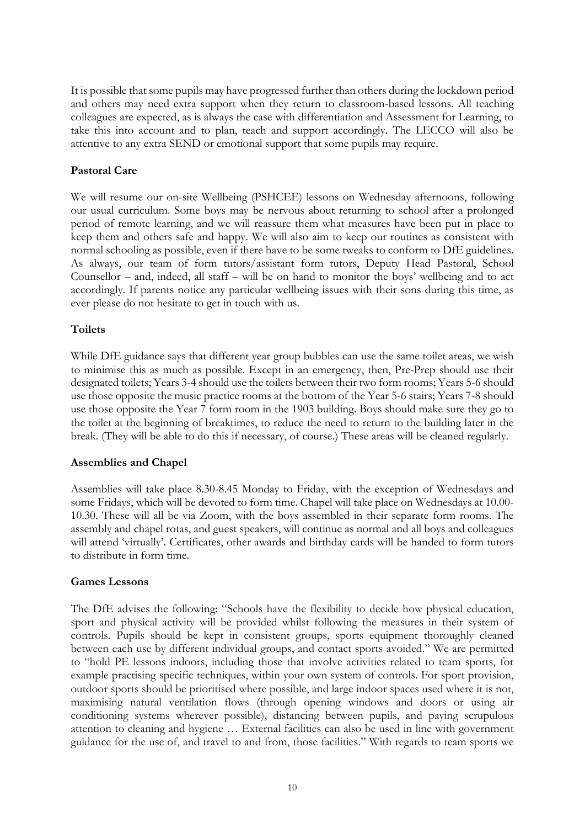It is possible that some pupils may have progressed further than others during the lockdown period and others may need extra support when they return to classroom-based lessons. All teaching colleagues are expected, as is always the case with differentiation and Assessment for Learning, to take this into account and to plan, teach and support accordingly. The LECCO will also be attentive to any extra SEND or emotional support that some pupils may require.

## **Pastoral Care**

We will resume our on-site Wellbeing (PSHCEE) lessons on Wednesday afternoons, following our usual curriculum. Some boys may be nervous about returning to school after a prolonged period of remote learning, and we will reassure them what measures have been put in place to keep them and others safe and happy. We will also aim to keep our routines as consistent with normal schooling as possible, even if there have to be some tweaks to conform to DfE guidelines. As always, our team of form tutors/assistant form tutors, Deputy Head Pastoral, School Counsellor – and, indeed, all staff – will be on hand to monitor the boys' wellbeing and to act accordingly. If parents notice any particular wellbeing issues with their sons during this time, as ever please do not hesitate to get in touch with us.

# **Toilets**

While DfE guidance says that different year group bubbles can use the same toilet areas, we wish to minimise this as much as possible. Except in an emergency, then, Pre-Prep should use their designated toilets; Years 3-4 should use the toilets between their two form rooms; Years 5-6 should use those opposite the music practice rooms at the bottom of the Year 5-6 stairs; Years 7-8 should use those opposite the Year 7 form room in the 1903 building. Boys should make sure they go to the toilet at the beginning of breaktimes, to reduce the need to return to the building later in the break. (They will be able to do this if necessary, of course.) These areas will be cleaned regularly.

## **Assemblies and Chapel**

Assemblies will take place 8.30-8.45 Monday to Friday, with the exception of Wednesdays and some Fridays, which will be devoted to form time. Chapel will take place on Wednesdays at 10.00- 10.30. These will all be via Zoom, with the boys assembled in their separate form rooms. The assembly and chapel rotas, and guest speakers, will continue as normal and all boys and colleagues will attend 'virtually'. Certificates, other awards and birthday cards will be handed to form tutors to distribute in form time.

## **Games Lessons**

The DfE advises the following: "Schools have the flexibility to decide how physical education, sport and physical activity will be provided whilst following the measures in their system of controls. Pupils should be kept in consistent groups, sports equipment thoroughly cleaned between each use by different individual groups, and contact sports avoided." We are permitted to "hold PE lessons indoors, including those that involve activities related to team sports, for example practising specific techniques, within your own system of controls. For sport provision, outdoor sports should be prioritised where possible, and large indoor spaces used where it is not, maximising natural ventilation flows (through opening windows and doors or using air conditioning systems wherever possible), distancing between pupils, and paying scrupulous attention to cleaning and hygiene … External facilities can also be used in line with government guidance for the use of, and travel to and from, those facilities." With regards to team sports we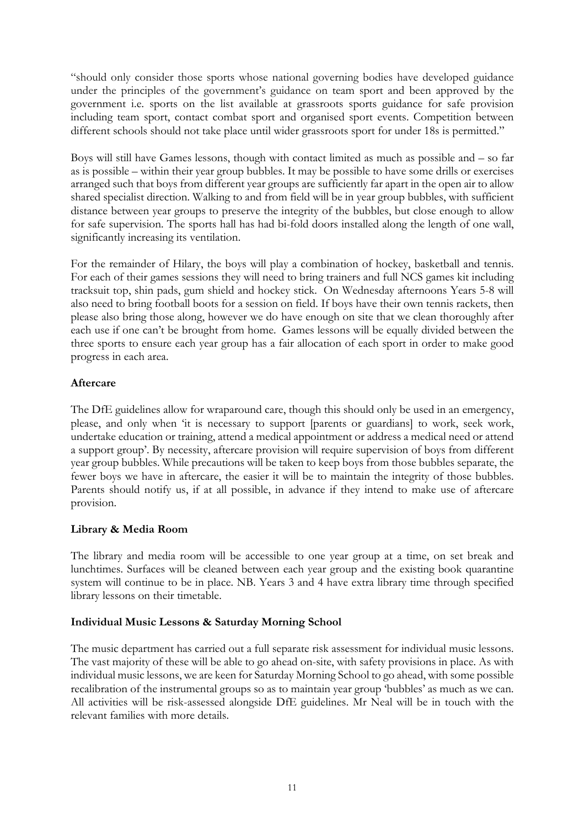"should only consider those sports whose national governing bodies have developed guidance under the principles of the government's guidance on team sport and been approved by the government i.e. sports on the list available at grassroots sports guidance for safe provision including team sport, contact combat sport and organised sport events. Competition between different schools should not take place until wider grassroots sport for under 18s is permitted."

Boys will still have Games lessons, though with contact limited as much as possible and – so far as is possible – within their year group bubbles. It may be possible to have some drills or exercises arranged such that boys from different year groups are sufficiently far apart in the open air to allow shared specialist direction. Walking to and from field will be in year group bubbles, with sufficient distance between year groups to preserve the integrity of the bubbles, but close enough to allow for safe supervision. The sports hall has had bi-fold doors installed along the length of one wall, significantly increasing its ventilation.

For the remainder of Hilary, the boys will play a combination of hockey, basketball and tennis. For each of their games sessions they will need to bring trainers and full NCS games kit including tracksuit top, shin pads, gum shield and hockey stick. On Wednesday afternoons Years 5-8 will also need to bring football boots for a session on field. If boys have their own tennis rackets, then please also bring those along, however we do have enough on site that we clean thoroughly after each use if one can't be brought from home. Games lessons will be equally divided between the three sports to ensure each year group has a fair allocation of each sport in order to make good progress in each area.

# **Aftercare**

The DfE guidelines allow for wraparound care, though this should only be used in an emergency, please, and only when 'it is necessary to support [parents or guardians] to work, seek work, undertake education or training, attend a medical appointment or address a medical need or attend a support group'. By necessity, aftercare provision will require supervision of boys from different year group bubbles. While precautions will be taken to keep boys from those bubbles separate, the fewer boys we have in aftercare, the easier it will be to maintain the integrity of those bubbles. Parents should notify us, if at all possible, in advance if they intend to make use of aftercare provision.

# **Library & Media Room**

The library and media room will be accessible to one year group at a time, on set break and lunchtimes. Surfaces will be cleaned between each year group and the existing book quarantine system will continue to be in place. NB. Years 3 and 4 have extra library time through specified library lessons on their timetable.

# **Individual Music Lessons & Saturday Morning School**

The music department has carried out a full separate risk assessment for individual music lessons. The vast majority of these will be able to go ahead on-site, with safety provisions in place. As with individual music lessons, we are keen for Saturday Morning School to go ahead, with some possible recalibration of the instrumental groups so as to maintain year group 'bubbles' as much as we can. All activities will be risk-assessed alongside DfE guidelines. Mr Neal will be in touch with the relevant families with more details.